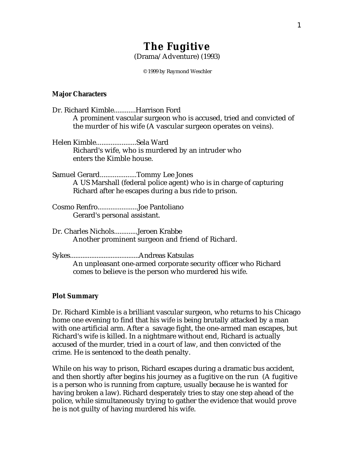# **The Fugitive** (Drama/Adventure) (1993)

© 1999 by Raymond Weschler

## **Major Characters**

| Dr. Richard KimbleHarrison Ford                                     |
|---------------------------------------------------------------------|
| A prominent vascular surgeon who is accused, tried and convicted of |
| the murder of his wife (A vascular surgeon operates on veins).      |
| Helen KimbleSela Ward                                               |
| Richard's wife, who is murdered by an intruder who                  |
| enters the Kimble house.                                            |
| Samuel GerardTommy Lee Jones                                        |
| A US Marshall (federal police agent) who is in charge of capturing  |
| Richard after he escapes during a bus ride to prison.               |
| Cosmo RenfroJoe Pantoliano                                          |
| Gerard's personal assistant.                                        |
| Dr. Charles NicholsJeroen Krabbe                                    |
| Another prominent surgeon and friend of Richard.                    |
|                                                                     |
| An unpleasant one-armed corporate security officer who Richard      |

comes to believe is the person who murdered his wife.

## **Plot Summary**

Dr. Richard Kimble is a brilliant vascular surgeon, who returns to his Chicago home one evening to find that his wife is being brutally attacked by a man with one artificial arm. After a savage fight, the one-armed man escapes, but Richard's wife is killed. In a nightmare without end, Richard is actually accused of the murder, tried in a court of law, and then convicted of the crime. He is sentenced to the death penalty.

While on his way to prison, Richard escapes during a dramatic bus accident, and then shortly after begins his journey as a fugitive on the run (A fugitive is a person who is running from capture, usually because he is wanted for having broken a law). Richard desperately tries to stay one step ahead of the police, while simultaneously trying to gather the evidence that would prove he is not guilty of having murdered his wife.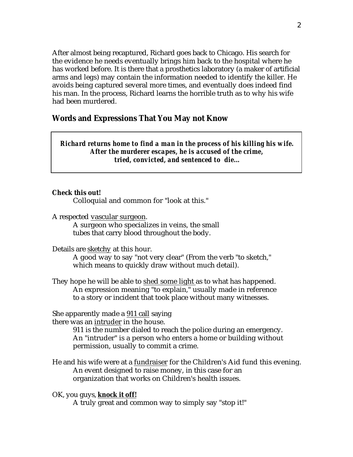After almost being recaptured, Richard goes back to Chicago. His search for the evidence he needs eventually brings him back to the hospital where he has worked before. It is there that a prosthetics laboratory (a maker of artificial arms and legs) may contain the information needed to identify the killer. He avoids being captured several more times, and eventually does indeed find his man. In the process, Richard learns the horrible truth as to why his wife had been murdered.

## **Words and Expressions That You May not Know**

## *Richard returns home to find a man in the process of his killing his wife. After the murderer escapes, he is accused of the crime, tried, convicted, and sentenced to die...*

#### **Check this out!**

Colloquial and common for "look at this."

A respected vascular surgeon.

A surgeon who specializes in veins, the small tubes that carry blood throughout the body.

Details are sketchy at this hour.

A good way to say "not very clear" (From the verb "to sketch," which means to quickly draw without much detail).

They hope he will be able to shed some light as to what has happened. An expression meaning "to explain," usually made in reference to a story or incident that took place without many witnesses.

## She apparently made a <u>911 call</u> saying

there was an intruder in the house.

911 is the number dialed to reach the police during an emergency. An "intruder" is a person who enters a home or building without permission, usually to commit a crime.

He and his wife were at a fundraiser for the Children's Aid fund this evening. An event designed to raise money, in this case for an organization that works on Children's health issues.

OK, you guys, **knock it off!**  A truly great and common way to simply say "stop it!"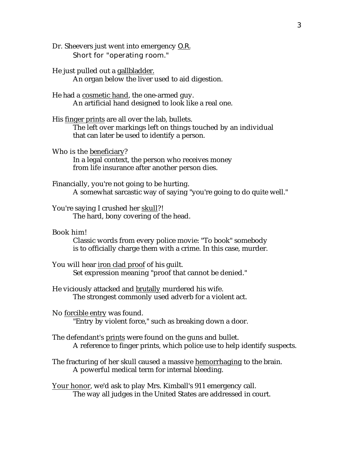- Dr. Sheevers just went into emergency O.R. Short for "operating room."
- He just pulled out a gallbladder. An organ below the liver used to aid digestion.
- He had a cosmetic hand, the one-armed guy. An artificial hand designed to look like a real one.
- His finger prints are all over the lab, bullets. The left over markings left on things touched by an individual that can later be used to identify a person.
- Who is the beneficiary? In a legal context, the person who receives money from life insurance after another person dies.
- Financially, you're not going to be hurting. A somewhat sarcastic way of saying "you're going to do quite well."
- You're saying I crushed her skull?! The hard, bony covering of the head.
- Book him!

Classic words from every police movie: "To book" somebody is to officially charge them with a crime. In this case, murder.

- You will hear iron clad proof of his guilt. Set expression meaning "proof that cannot be denied."
- He viciously attacked and brutally murdered his wife. The strongest commonly used adverb for a violent act.
- No forcible entry was found. "Entry by violent force," such as breaking down a door.
- The defendant's prints were found on the guns and bullet. A reference to finger prints, which police use to help identify suspects.
- The fracturing of her skull caused a massive hemorrhaging to the brain. A powerful medical term for internal bleeding.
- Your honor, we'd ask to play Mrs. Kimball's 911 emergency call. The way all judges in the United States are addressed in court.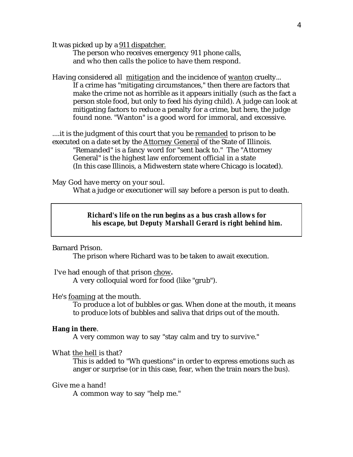It was picked up by a 911 dispatcher.

The person who receives emergency 911 phone calls, and who then calls the police to have them respond.

Having considered all mitigation and the incidence of wanton cruelty... If a crime has "mitigating circumstances," then there are factors that make the crime not as horrible as it appears initially (such as the fact a person stole food, but only to feed his dying child). A judge can look at mitigating factors to reduce a penalty for a crime, but here, the judge found none. "Wanton" is a good word for immoral, and excessive.

....it is the judgment of this court that you be remanded to prison to be executed on a date set by the Attorney General of the State of Illinois. "Remanded" is a fancy word for "sent back to." The "Attorney General" is the highest law enforcement official in a state (In this case Illinois, a Midwestern state where Chicago is located).

May God have mercy on your soul.

What a judge or executioner will say before a person is put to death.

## *Richard's life on the run begins as a bus crash allows for his escape, but Deputy Marshall Gerard is right behind him.*

Barnard Prison.

The prison where Richard was to be taken to await execution.

I've had enough of that prison chow.

A very colloquial word for food (like "grub").

#### He's foaming at the mouth.

To produce a lot of bubbles or gas. When done at the mouth, it means to produce lots of bubbles and saliva that drips out of the mouth.

#### **Hang in there**.

A very common way to say "stay calm and try to survive."

## What the hell is that?

This is added to "Wh questions" in order to express emotions such as anger or surprise (or in this case, fear, when the train nears the bus).

#### Give me a hand!

A common way to say "help me."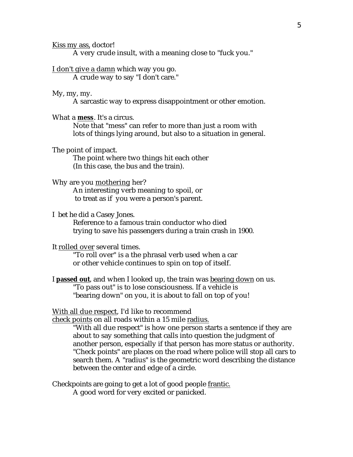Kiss my ass, doctor!

A very crude insult, with a meaning close to "fuck you."

#### I don't give a damn which way you go.

A crude way to say "I don't care."

#### My, my, my.

A sarcastic way to express disappointment or other emotion.

#### What a **mess**. It's a circus.

Note that "mess" can refer to more than just a room with lots of things lying around, but also to a situation in general.

## The point of impact.

The point where two things hit each other (In this case, the bus and the train).

#### Why are you mothering her?

An interesting verb meaning to spoil, or to treat as if you were a person's parent.

#### I bet he did a Casey Jones.

Reference to a famous train conductor who died trying to save his passengers during a train crash in 1900.

#### It rolled over several times.

"To roll over" is a the phrasal verb used when a car or other vehicle continues to spin on top of itself.

## I **passed out**, and when I looked up, the train was bearing down on us. "To pass out" is to lose consciousness. If a vehicle is "bearing down" on you, it is about to fall on top of you!

#### With all due respect, I'd like to recommend

check points on all roads within a 15 mile radius.

"With all due respect" is how one person starts a sentence if they are about to say something that calls into question the judgment of another person, especially if that person has more status or authority. "Check points" are places on the road where police will stop all cars to search them. A "radius" is the geometric word describing the distance between the center and edge of a circle.

Checkpoints are going to get a lot of good people frantic.

A good word for very excited or panicked.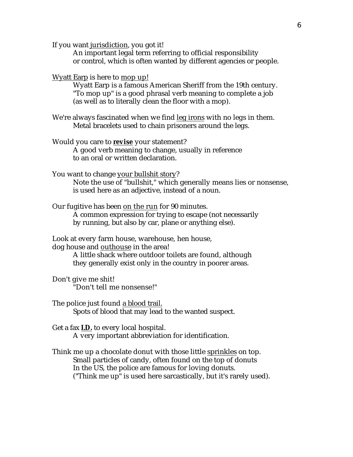If you want jurisdiction, you got it!

An important legal term referring to official responsibility or control, which is often wanted by different agencies or people.

Wyatt Earp is here to mop up!

Wyatt Earp is a famous American Sheriff from the 19th century. "To mop up" is a good phrasal verb meaning to complete a job (as well as to literally clean the floor with a mop).

We're always fascinated when we find leg irons with no legs in them. Metal bracelets used to chain prisoners around the legs.

Would you care to **revise** your statement? A good verb meaning to change, usually in reference to an oral or written declaration.

You want to change your bullshit story?

Note the use of "bullshit," which generally means lies or nonsense, is used here as an adjective, instead of a noun.

Our fugitive has been on the run for 90 minutes. A common expression for trying to escape (not necessarily by running, but also by car, plane or anything else).

Look at every farm house, warehouse, hen house, dog house and outhouse in the area!

> A little shack where outdoor toilets are found, although they generally exist only in the country in poorer areas.

Don't give me shit! "Don't tell me nonsense!"

The police just found a blood trail. Spots of blood that may lead to the wanted suspect.

Get a fax **I.D.** to every local hospital. A very important abbreviation for identification.

Think me up a chocolate donut with those little sprinkles on top. Small particles of candy, often found on the top of donuts In the US, the police are famous for loving donuts. ("Think me up" is used here sarcastically, but it's rarely used).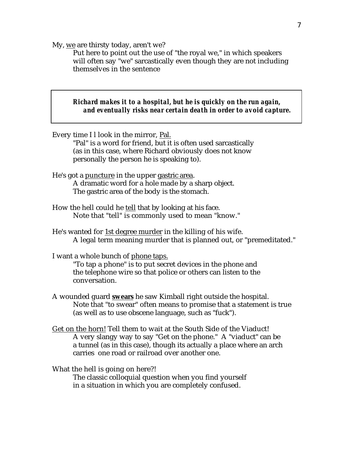My, we are thirsty today, aren't we?

Put here to point out the use of "the royal we," in which speakers will often say "we" sarcastically even though they are not including themselves in the sentence

## *Richard makes it to a hospital, but he is quickly on the run again, and eventually risks near certain death in order to avoid capture.*

Every time I l look in the mirror, Pal. "Pal" is a word for friend, but it is often used sarcastically (as in this case, where Richard obviously does not know personally the person he is speaking to). He's got a puncture in the upper gastric area. A dramatic word for a hole made by a sharp object. The gastric area of the body is the stomach. How the hell could he tell that by looking at his face. Note that "tell" is commonly used to mean "know." He's wanted for 1st degree murder in the killing of his wife. A legal term meaning murder that is planned out, or "premeditated." I want a whole bunch of phone taps. "To tap a phone" is to put secret devices in the phone and the telephone wire so that police or others can listen to the conversation. A wounded guard **swears** he saw Kimball right outside the hospital. Note that "to swear" often means to promise that a statement is true (as well as to use obscene language, such as "fuck"). Get on the horn! Tell them to wait at the South Side of the Viaduct! A very slangy way to say "Get on the phone." A "viaduct" can be a tunnel (as in this case), though its actually a place where an arch carries one road or railroad over another one. What the hell is going on here?! The classic colloquial question when you find yourself

in a situation in which you are completely confused.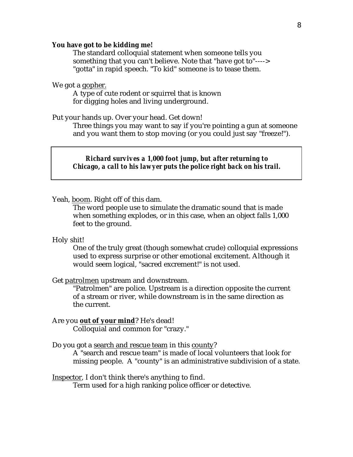#### **You have got to be kidding me!**

The standard colloquial statement when someone tells you something that you can't believe. Note that "have got to"----> "gotta" in rapid speech. "To kid" someone is to tease them.

We got a gopher.

A type of cute rodent or squirrel that is known for digging holes and living underground.

#### Put your hands up. Over your head. Get down!

Three things you may want to say if you're pointing a gun at someone and you want them to stop moving (or you could just say "freeze!").

*Richard survives a 1,000 foot jump, but after returning to Chicago, a call to his lawyer puts the police right back on his trail.*

Yeah, boom. Right off of this dam.

The word people use to simulate the dramatic sound that is made when something explodes, or in this case, when an object falls 1,000 feet to the ground.

#### Holy shit!

One of the truly great (though somewhat crude) colloquial expressions used to express surprise or other emotional excitement. Although it would seem logical, "sacred excrement!" is not used.

#### Get patrolmen upstream and downstream.

"Patrolmen" are police. Upstream is a direction opposite the current of a stream or river, while downstream is in the same direction as the current.

#### Are you out of your mind? He's dead! Colloquial and common for "crazy."

#### Do you got a search and rescue team in this county?

A "search and rescue team" is made of local volunteers that look for missing people. A "county" is an administrative subdivision of a state.

#### Inspector, I don't think there's anything to find.

Term used for a high ranking police officer or detective.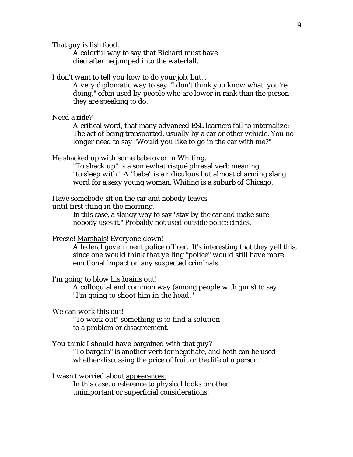That guy is fish food.

A colorful way to say that Richard must have died after he jumped into the waterfall.

I don't want to tell you how to do your job, but...

A very diplomatic way to say "I don't think you know what you're doing," often used by people who are lower in rank than the person they are speaking to do.

## Need a ride?

A critical word, that many advanced ESL learners fail to internalize: The act of being transported, usually by a car or other vehicle. You no longer need to say "Would you like to go in the car with me?"

He shacked up with some babe over in Whiting.

"To shack up" is a somewhat risqué phrasal verb meaning "to sleep with." A "babe" is a ridiculous but almost charming slang word for a sexy young woman. Whiting is a suburb of Chicago.

Have somebody sit on the car and nobody leaves

until first thing in the morning.

In this case, a slangy way to say "stay by the car and make sure nobody uses it." Probably not used outside police circles.

#### Freeze! Marshals! Everyone down!

A federal government police officer. It's interesting that they yell this, since one would think that yelling "police" would still have more emotional impact on any suspected criminals.

## I'm going to blow his brains out!

A colloquial and common way (among people with guns) to say "I'm going to shoot him in the head."

### We can work this out!

"To work out" something is to find a solution to a problem or disagreement.

#### You think I should have bargained with that guy?

"To bargain" is another verb for negotiate, and both can be used whether discussing the price of fruit or the life of a person.

#### I wasn't worried about appearances.

In this case, a reference to physical looks or other unimportant or superficial considerations.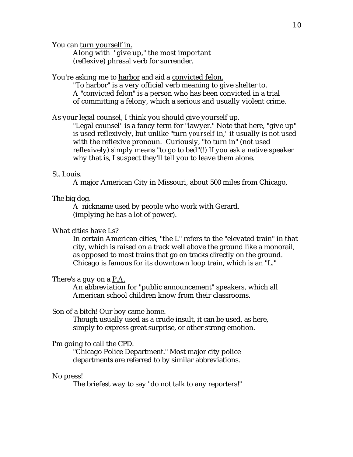You can turn yourself in.

Along with "give up," the most important (reflexive) phrasal verb for surrender.

You're asking me to harbor and aid a convicted felon.

"To harbor" is a very official verb meaning to give shelter to. A "convicted felon" is a person who has been convicted in a trial of committing a felony, which a serious and usually violent crime.

As your legal counsel, I think you should give yourself up.

"Legal counsel" is a fancy term for "lawyer." Note that here, "give up" is used reflexively, but unlike "turn *yourself* in," it usually is not used with the reflexive pronoun. Curiously, "to turn in" (not used reflexively) simply means "to go to bed"(!) If you ask a native speaker why that is, I suspect they'll tell you to leave them alone.

#### St. Louis.

A major American City in Missouri, about 500 miles from Chicago,

#### The big dog.

A nickname used by people who work with Gerard. (implying he has a lot of power).

## What cities have Ls?

In certain American cities, "the L" refers to the "elevated train" in that city, which is raised on a track well above the ground like a monorail, as opposed to most trains that go on tracks directly on the ground. Chicago is famous for its downtown loop train, which is an "L."

## There's a guy on a P.A.

An abbreviation for "public announcement" speakers, which all American school children know from their classrooms.

### Son of a bitch! Our boy came home.

Though usually used as a crude insult, it can be used, as here, simply to express great surprise, or other strong emotion.

## I'm going to call the CPD.

"Chicago Police Department." Most major city police departments are referred to by similar abbreviations.

#### No press!

The briefest way to say "do not talk to any reporters!"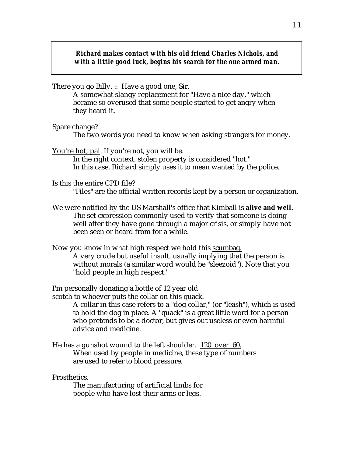*Richard makes contact with his old friend Charles Nichols, and with a little good luck, begins his search for the one armed man.*

There you go Billy. :: Have a good one, Sir.

A somewhat slangy replacement for "Have a nice day," which became so overused that some people started to get angry when they heard it.

Spare change?

The two words you need to know when asking strangers for money.

You're hot, pal. If you're not, you will be.

In the right context, stolen property is considered "hot." In this case, Richard simply uses it to mean wanted by the police.

Is this the entire CPD file? "Files" are the official written records kept by a person or organization.

We were notified by the US Marshall's office that Kimball is **alive and well.**  The set expression commonly used to verify that someone is doing well after they have gone through a major crisis, or simply have not been seen or heard from for a while.

Now you know in what high respect we hold this scumbag. A very crude but useful insult, usually implying that the person is without morals (a similar word would be "sleezoid"). Note that you "hold people in high respect."

I'm personally donating a bottle of 12 year old

scotch to whoever puts the collar on this quack.

A collar in this case refers to a "dog collar," (or "leash"), which is used to hold the dog in place. A "quack" is a great little word for a person who pretends to be a doctor, but gives out useless or even harmful advice and medicine.

He has a gunshot wound to the left shoulder. 120 over 60. When used by people in medicine, these type of numbers are used to refer to blood pressure.

Prosthetics.

The manufacturing of artificial limbs for people who have lost their arms or legs.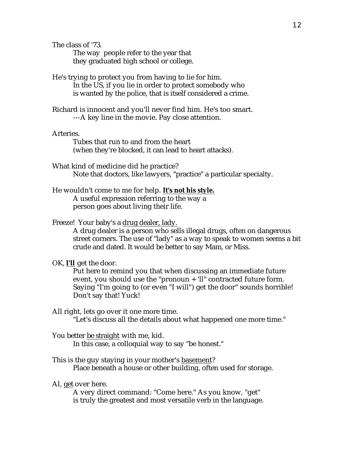The class of '73.

The way people refer to the year that they graduated high school or college.

He's trying to protect you from having to lie for him. In the US, if you lie in order to protect somebody who is wanted by the police, that is itself considered a crime.

Richard is innocent and you'll never find him. He's too smart. ---A key line in the movie. Pay close attention.

Arteries.

Tubes that run to and from the heart (when they're blocked, it can lead to heart attacks).

- What kind of medicine did he practice? Note that doctors, like lawyers, "practice" a particular specialty.
- He wouldn't come to me for help. **It's not his style.**  A useful expression referring to the way a person goes about living their life.

## Freeze! Your baby's a drug dealer, lady.

A drug dealer is a person who sells illegal drugs, often on dangerous street corners. The use of "lady" as a way to speak to women seems a bit crude and dated. It would be better to say Mam, or Miss.

OK, **I'll** get the door.

Put here to remind you that when discussing an immediate future event, you should use the "pronoun + 'll" contracted future form. Saying "I'm going to (or even "I will") get the door" sounds horrible! Don't say that! Yuck!

All right, lets go over it one more time.

"Let's discuss all the details about what happened one more time."

You better be straight with me, kid.

In this case, a colloquial way to say "be honest."

This is the guy staying in your mother's basement? Place beneath a house or other building, often used for storage.

Al, get over here.

A very direct command: "Come here." As you know, "get" is truly the greatest and most versatile verb in the language.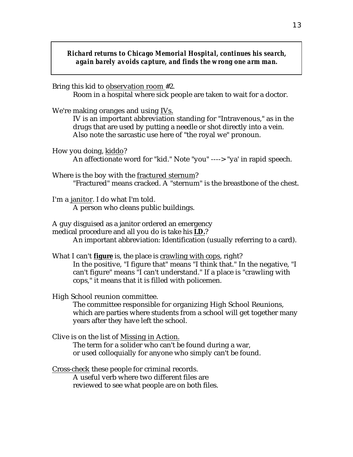*Richard returns to Chicago Memorial Hospital, continues his search, again barely avoids capture, and finds the wrong one arm man.*

Bring this kid to observation room #2. Room in a hospital where sick people are taken to wait for a doctor.

We're making oranges and using IVs.

IV is an important abbreviation standing for "Intravenous," as in the drugs that are used by putting a needle or shot directly into a vein. Also note the sarcastic use here of "the royal we" pronoun.

How you doing, kiddo? An affectionate word for "kid." Note "you" ----> "ya' in rapid speech.

Where is the boy with the fractured sternum? "Fractured" means cracked. A "sternum" is the breastbone of the chest.

I'm a janitor. I do what I'm told. A person who cleans public buildings.

A guy disguised as a janitor ordered an emergency medical procedure and all you do is take his **I.D.**? An important abbreviation: Identification (usually referring to a card).

What I can't **figure** is, the place is crawling with cops, right? In the positive, "I figure that" means "I think that." In the negative, "I can't figure" means "I can't understand." If a place is "crawling with cops," it means that it is filled with policemen.

High School reunion committee.

The committee responsible for organizing High School Reunions, which are parties where students from a school will get together many years after they have left the school.

Clive is on the list of Missing in Action. The term for a solider who can't be found during a war, or used colloquially for anyone who simply can't be found.

Cross-check these people for criminal records. A useful verb where two different files are reviewed to see what people are on both files.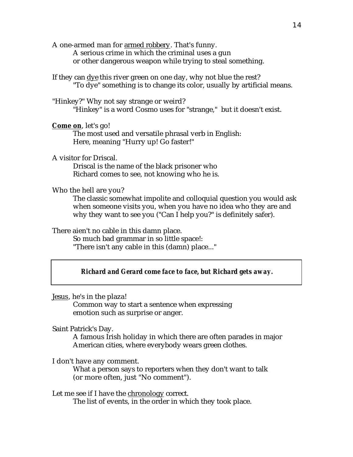A one-armed man for armed robbery. That's funny. A serious crime in which the criminal uses a gun or other dangerous weapon while trying to steal something.

If they can dye this river green on one day, why not blue the rest? "To dye" something is to change its color, usually by artificial means.

"Hinkey?" Why not say strange or weird? "Hinkey" is a word Cosmo uses for "strange," but it doesn't exist.

**Come on, let's go!** 

The most used and versatile phrasal verb in English: Here, meaning "Hurry up! Go faster!"

A visitor for Driscal.

Driscal is the name of the black prisoner who Richard comes to see, not knowing who he is.

## Who the hell are you?

The classic somewhat impolite and colloquial question you would ask when someone visits you, when you have no idea who they are and why they want to see you ("Can I help you?" is definitely safer).

There aien't no cable in this damn place.

So much bad grammar in so little space!: "There isn't any cable in this (damn) place..."

## *Richard and Gerard come face to face, but Richard gets away.*

Jesus, he's in the plaza!

Common way to start a sentence when expressing emotion such as surprise or anger.

Saint Patrick's Day.

A famous Irish holiday in which there are often parades in major American cities, where everybody wears green clothes.

I don't have any comment.

What a person says to reporters when they don't want to talk (or more often, just "No comment").

Let me see if I have the chronology correct.

The list of events, in the order in which they took place.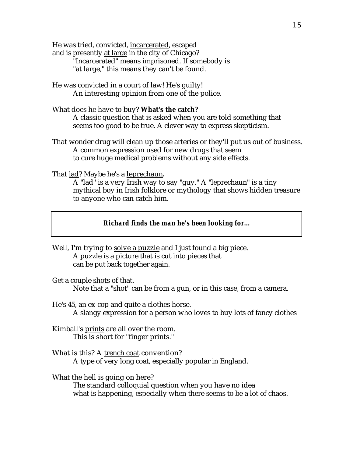He was tried, convicted, incarcerated, escaped

and is presently at large in the city of Chicago? "Incarcerated" means imprisoned. If somebody is "at large," this means they can't be found.

He was convicted in a court of law! He's guilty! An interesting opinion from one of the police.

## What does he have to buy? **What's the catch?**

A classic question that is asked when you are told something that seems too good to be true. A clever way to express skepticism.

That wonder drug will clean up those arteries or they'll put us out of business. A common expression used for new drugs that seem to cure huge medical problems without any side effects.

That lad? Maybe he's a leprechaun.

A "lad" is a very Irish way to say "guy." A "leprechaun" is a tiny mythical boy in Irish folklore or mythology that shows hidden treasure to anyone who can catch him.

## *Richard finds the man he's been looking for...*

- Well, I'm trying to solve a puzzle and I just found a big piece. A puzzle is a picture that is cut into pieces that can be put back together again.
- Get a couple shots of that. Note that a "shot" can be from a gun, or in this case, from a camera.
- He's 45, an ex-cop and quite a clothes horse. A slangy expression for a person who loves to buy lots of fancy clothes
- Kimball's prints are all over the room. This is short for "finger prints."
- What is this? A trench coat convention? A type of very long coat, especially popular in England.

What the hell is going on here? The standard colloquial question when you have no idea what is happening, especially when there seems to be a lot of chaos.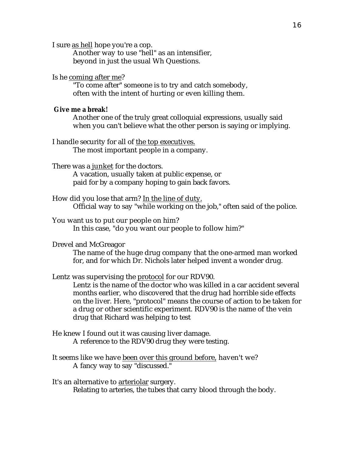I sure as hell hope you're a cop.

Another way to use "hell" as an intensifier, beyond in just the usual Wh Questions.

### Is he coming after me?

"To come after" someone is to try and catch somebody, often with the intent of hurting or even killing them.

#### **Give me a break!**

Another one of the truly great colloquial expressions, usually said when you can't believe what the other person is saying or implying.

I handle security for all of the top executives. The most important people in a company.

There was a junket for the doctors.

A vacation, usually taken at public expense, or paid for by a company hoping to gain back favors.

How did you lose that arm? In the line of duty. Official way to say "while working on the job," often said of the police.

You want us to put our people on him? In this case, "do you want our people to follow him?"

Drevel and McGreagor

The name of the huge drug company that the one-armed man worked for, and for which Dr. Nichols later helped invent a wonder drug.

Lentz was supervising the protocol for our RDV90.

Lentz is the name of the doctor who was killed in a car accident several months earlier, who discovered that the drug had horrible side effects on the liver. Here, "protocol" means the course of action to be taken for a drug or other scientific experiment. RDV90 is the name of the vein drug that Richard was helping to test

- He knew I found out it was causing liver damage. A reference to the RDV90 drug they were testing.
- It seems like we have been over this ground before, haven't we? A fancy way to say "discussed."

It's an alternative to arteriolar surgery. Relating to arteries, the tubes that carry blood through the body.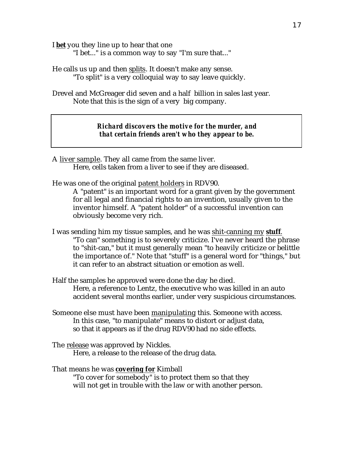I **bet** you they line up to hear that one

"I bet..." is a common way to say "I'm sure that..."

He calls us up and then splits . It doesn't make any sense. "To split" is a very colloquial way to say leave quickly.

Drevel and McGreager did seven and a half billion in sales last year. Note that this is the sign of a very big company.

> *Richard discovers the motive for the murder, and that certain friends aren't who they appear to be.*

A liver sample. They all came from the same liver. Here, cells taken from a liver to see if they are diseased.

He was one of the original patent holders in RDV90.

A "patent" is an important word for a grant given by the government for all legal and financial rights to an invention, usually given to the inventor himself. A "patent holder" of a successful invention can obviously become very rich.

- I was sending him my tissue samples, and he was shit-canning my **stuff** . "To can" something is to severely criticize. I've never heard the phrase to "shit-can," but it must generally mean "to heavily criticize or belittle the importance of." Note that "stuff" is a general word for "things," but it can refer to an abstract situation or emotion as well.
- Half the samples he approved were done the day he died. Here, a reference to Lentz, the executive who was killed in an auto accident several months earlier, under very suspicious circumstances.
- Someone else must have been manipulating this. Someone with access. In this case, "to manipulate" means to distort or adjust data, so that it appears as if the drug RDV90 had no side effects.
- The release was approved by Nickles. Here, a release to the release of the drug data.

That means he was **covering for** Kimball "To cover for somebody" is to protect them so that they will not get in trouble with the law or with another person.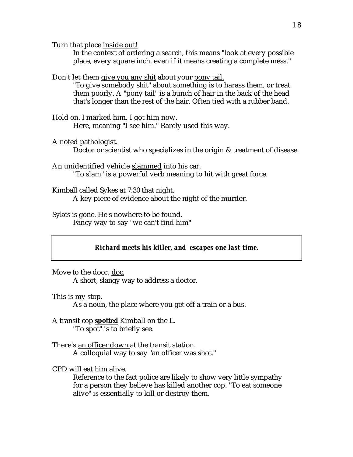Turn that place inside out!

In the context of ordering a search, this means "look at every possible place, every square inch, even if it means creating a complete mess."

Don't let them give you any shit about your pony tail.

"To give somebody shit" about something is to harass them, or treat them poorly. A "pony tail" is a bunch of hair in the back of the head that's longer than the rest of the hair. Often tied with a rubber band.

Hold on. I marked him. I got him now. Here, meaning "I see him." Rarely used this way.

A noted pathologist.

Doctor or scientist who specializes in the origin & treatment of disease.

An unidentified vehicle slammed into his car. "To slam" is a powerful verb meaning to hit with great force.

Kimball called Sykes at 7:30 that night. A key piece of evidence about the night of the murder.

Sykes is gone. He's nowhere to be found. Fancy way to say "we can't find him"

## *Richard meets his killer, and escapes one last time.*

Move to the door, doc.

A short, slangy way to address a doctor.

This is my stop.

As a noun, the place where you get off a train or a bus.

A transit cop **spotted** Kimball on the L. "To spot" is to briefly see.

There's an officer down at the transit station. A colloquial way to say "an officer was shot."

CPD will eat him alive.

Reference to the fact police are likely to show very little sympathy for a person they believe has killed another cop. "To eat someone alive" is essentially to kill or destroy them.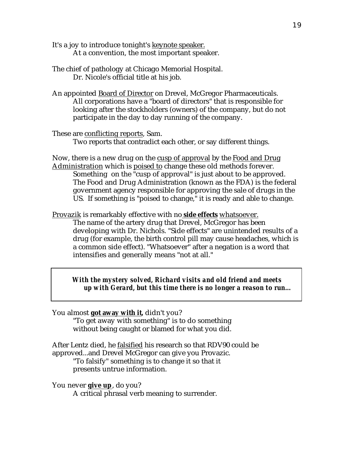It's a joy to introduce tonight's keynote speaker. At a convention, the most important speaker.

- The chief of pathology at Chicago Memorial Hospital. Dr. Nicole's official title at his job.
- An appointed Board of Director on Drevel, McGregor Pharmaceuticals. All corporations have a "board of directors" that is responsible for looking after the stockholders (owners) of the company, but do not participate in the day to day running of the company.

These are conflicting reports, Sam. Two reports that contradict each other, or say different things.

Now, there is a new drug on the cusp of approval by the Food and Drug Administration which is poised to change these old methods forever. Something on the "cusp of approval" is just about to be approved. The Food and Drug Administration (known as the FDA) is the federal government agency responsible for approving the sale of drugs in the US. If something is "poised to change," it is ready and able to change.

Provazik is remarkably effective with no **side effects** whatsoever. The name of the artery drug that Drevel, McGregor has been developing with Dr. Nichols. "Side effects" are unintended results of a drug (for example, the birth control pill may cause headaches, which is a common side effect). "Whatsoever" after a negation is a word that intensifies and generally means "not at all."

*With the mystery solved, Richard visits and old friend and meets up with Gerard, but this time there is no longer a reason to run...*

You almost **got away with it, didn't you?** 

"To get away with something" is to do something without being caught or blamed for what you did.

After Lentz died, he falsified his research so that RDV90 could be approved...and Drevel McGregor can give you Provazic.

"To falsify" something is to change it so that it presents untrue information.

You never **give up**, do you?

A critical phrasal verb meaning to surrender.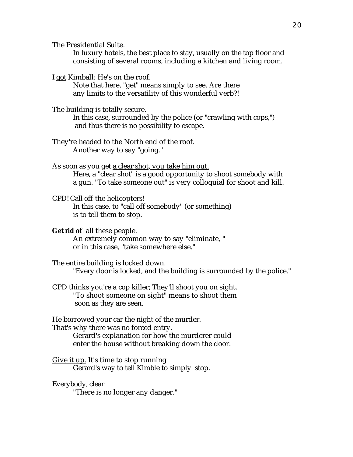The Presidential Suite.

In luxury hotels, the best place to stay, usually on the top floor and consisting of several rooms, including a kitchen and living room.

I got Kimball: He's on the roof.

Note that here, "get" means simply to see. Are there any limits to the versatility of this wonderful verb?!

The building is totally secure. In this case, surrounded by the police (or "crawling with cops,")

and thus there is no possibility to escape.

They're headed to the North end of the roof. Another way to say "going."

As soon as you get a clear shot, you take him out. Here, a "clear shot" is a good opportunity to shoot somebody with a gun. "To take someone out" is very colloquial for shoot and kill.

CPD! Call off the helicopters!

In this case, to "call off somebody" (or something) is to tell them to stop.

**Get rid of** all these people. An extremely common way to say "eliminate, " or in this case, "take somewhere else."

The entire building is locked down. "Every door is locked, and the building is surrounded by the police."

CPD thinks you're a cop killer; They'll shoot you on sight. "To shoot someone on sight" means to shoot them soon as they are seen.

He borrowed your car the night of the murder.

That's why there was no forced entry.

Gerard's explanation for how the murderer could enter the house without breaking down the door.

Give it up. It's time to stop running Gerard's way to tell Kimble to simply stop.

## Everybody, clear.

"There is no longer any danger."